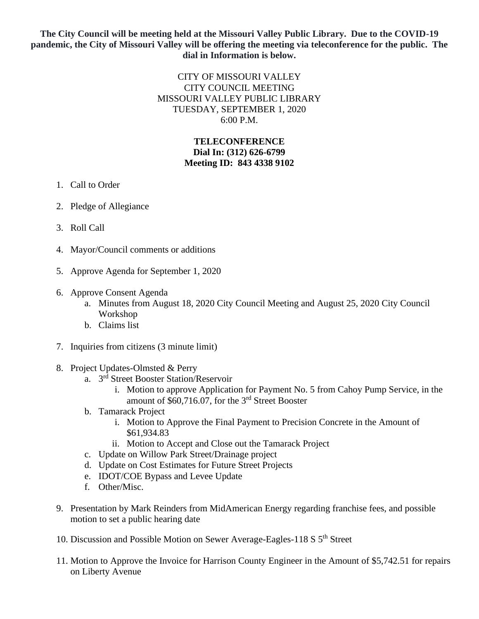## **The City Council will be meeting held at the Missouri Valley Public Library. Due to the COVID-19 pandemic, the City of Missouri Valley will be offering the meeting via teleconference for the public. The dial in Information is below.**

## CITY OF MISSOURI VALLEY CITY COUNCIL MEETING MISSOURI VALLEY PUBLIC LIBRARY TUESDAY, SEPTEMBER 1, 2020 6:00 P.M.

## **TELECONFERENCE Dial In: (312) 626-6799 Meeting ID: 843 4338 9102**

- 1. Call to Order
- 2. Pledge of Allegiance
- 3. Roll Call
- 4. Mayor/Council comments or additions
- 5. Approve Agenda for September 1, 2020
- 6. Approve Consent Agenda
	- a. Minutes from August 18, 2020 City Council Meeting and August 25, 2020 City Council Workshop
	- b. Claims list
- 7. Inquiries from citizens (3 minute limit)
- 8. Project Updates-Olmsted & Perry
	- a. 3 rd Street Booster Station/Reservoir
		- i. Motion to approve Application for Payment No. 5 from Cahoy Pump Service, in the amount of \$60,716.07, for the 3rd Street Booster
	- b. Tamarack Project
		- i. Motion to Approve the Final Payment to Precision Concrete in the Amount of \$61,934.83
		- ii. Motion to Accept and Close out the Tamarack Project
	- c. Update on Willow Park Street/Drainage project
	- d. Update on Cost Estimates for Future Street Projects
	- e. IDOT/COE Bypass and Levee Update
	- f. Other/Misc.
- 9. Presentation by Mark Reinders from MidAmerican Energy regarding franchise fees, and possible motion to set a public hearing date
- 10. Discussion and Possible Motion on Sewer Average-Eagles-118 S 5<sup>th</sup> Street
- 11. Motion to Approve the Invoice for Harrison County Engineer in the Amount of \$5,742.51 for repairs on Liberty Avenue